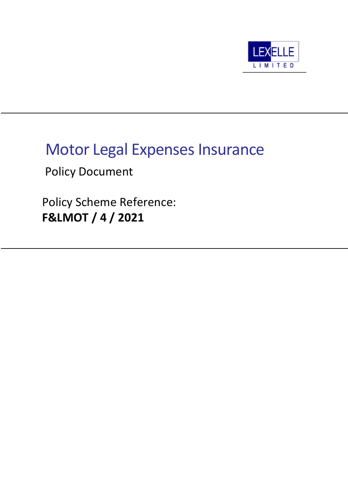

# Motor Legal Expenses Insurance

Policy Document

Policy Scheme Reference: **F&LMOT / 4 / 2021**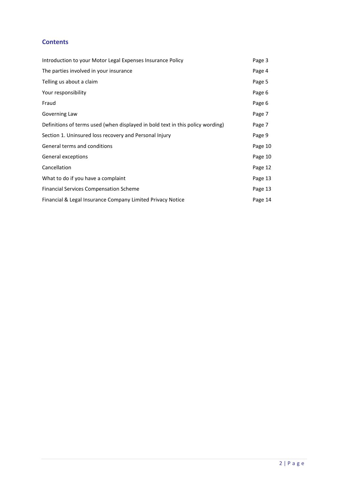### **Contents**

| Introduction to your Motor Legal Expenses Insurance Policy                     | Page 3  |
|--------------------------------------------------------------------------------|---------|
| The parties involved in your insurance                                         | Page 4  |
| Telling us about a claim                                                       | Page 5  |
| Your responsibility                                                            | Page 6  |
| Fraud                                                                          | Page 6  |
| Governing Law                                                                  | Page 7  |
| Definitions of terms used (when displayed in bold text in this policy wording) | Page 7  |
| Section 1. Uninsured loss recovery and Personal Injury                         | Page 9  |
| General terms and conditions                                                   | Page 10 |
| General exceptions                                                             | Page 10 |
| Cancellation                                                                   | Page 12 |
| What to do if you have a complaint                                             | Page 13 |
| <b>Financial Services Compensation Scheme</b>                                  | Page 13 |
| Financial & Legal Insurance Company Limited Privacy Notice                     | Page 14 |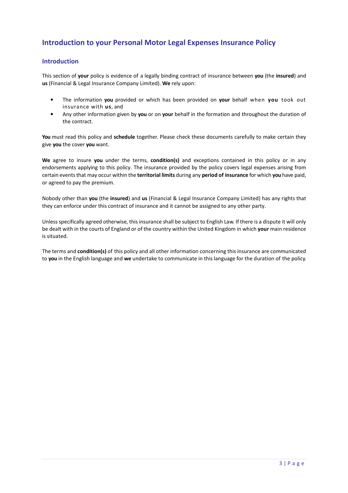# **Introduction to your Personal Motor Legal Expenses Insurance Policy**

### **Introduction**

This section of **your** policy is evidence of a legally binding contract of insurance between **you** (the **insured**) and **us** (Financial & Legal Insurance Company Limited). **We** rely upon:

- The information **you** provided or which has been provided on **your** behalf when **you** took out insurance with **us**, and
- Any other information given by **you** or on **your** behalf in the formation and throughout the duration of the contract.

**You** must read this policy and **schedule** together. Please check these documents carefully to make certain they give **you** the cover **you** want.

**We** agree to insure **you** under the terms, **condition(s)** and exceptions contained in this policy or in any endorsements applying to this policy. The insurance provided by the policy covers legal expenses arising from certain events that may occur within the **territorial limits** during any **period of insurance** for which **you** have paid, or agreed to pay the premium.

Nobody other than **you** (the **insured**) and **us** (Financial & Legal Insurance Company Limited) has any rights that they can enforce under this contract of insurance and it cannot be assigned to any other party.

Unless specifically agreed otherwise, this insurance shall be subject to English Law. If there is a dispute it will only be dealt with in the courts of England or of the country within the United Kingdom in which **your** main residence is situated.

The terms and **condition(s)** of this policy and all other information concerning this insurance are communicated to **you** in the English language and **we** undertake to communicate in this language for the duration of the policy.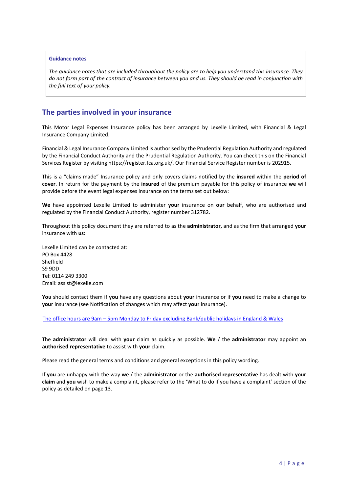#### **Guidance notes**

*The guidance notes that are included throughout the policy are to help you understand this insurance. They do not form part of the contract of insurance between you and us. They should be read in conjunction with the full text of your policy.*

### **The parties involved in your insurance**

This Motor Legal Expenses Insurance policy has been arranged by Lexelle Limited, with Financial & Legal Insurance Company Limited.

Financial & Legal Insurance Company Limited is authorised by the Prudential Regulation Authority and regulated by the Financial Conduct Authority and the Prudential Regulation Authority. You can check this on the Financial Services Register by visiting https://register.fca.org.uk/. Our Financial Service Register number is 202915.

This is a "claims made" Insurance policy and only covers claims notified by the **insured** within the **period of cover**. In return for the payment by the **insured** of the premium payable for this policy of insurance **we** will provide before the event legal expenses insurance on the terms set out below:

**We** have appointed Lexelle Limited to administer **your** insurance on **our** behalf, who are authorised and regulated by the Financial Conduct Authority, register number 312782.

Throughout this policy document they are referred to as the **administrator,** and as the firm that arranged **your**  insurance with **us:**

Lexelle Limited can be contacted at: PO Box 4428 Sheffield S9 9DD Tel: 0114 249 3300 Email: assist@lexelle.com

**You** should contact them if **you** have any questions about **your** insurance or if **you** need to make a change to **your** insurance (see Notification of changes which may affect **your** insurance).

The office hours are 9am – 5pm Monday to Friday excluding Bank/public holidays in England & Wales

The **administrator** will deal with **your** claim as quickly as possible. **We** / the **administrator** may appoint an **authorised representative** to assist with **your** claim.

Please read the general terms and conditions and general exceptions in this policy wording.

If **you** are unhappy with the way **we** / the **administrator** or the **authorised representative** has dealt with **your claim** and **you** wish to make a complaint, please refer to the 'What to do if you have a complaint' section of the policy as detailed on page 13.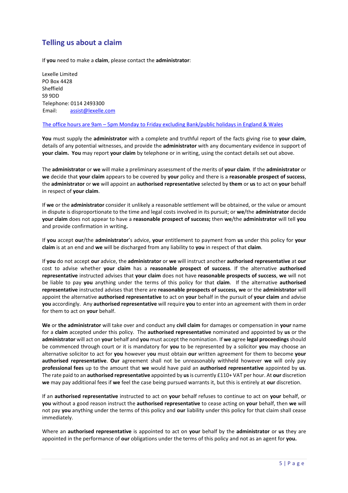# **Telling us about a claim**

If **you** need to make a **claim**, please contact the **administrator**:

Lexelle Limited PO Box 4428 Sheffield S9 9DD Telephone: 0114 2493300 Email: assist@lexelle.com

#### The office hours are 9am – 5pm Monday to Friday excluding Bank/public holidays in England & Wales

**You** must supply the **administrator** with a complete and truthful report of the facts giving rise to **your claim**, details of any potential witnesses, and provide the **administrator** with any documentary evidence in support of **your claim. You** may report **your claim** by telephone or in writing, using the contact details set out above.

The **administrator** or **we** will make a preliminary assessment of the merits of **your claim**. If the **administrator** or **we** decide that **your claim** appears to be covered by **your** policy and there is a **reasonable prospect of success**, the **administrator** or **we** will appoint an **authorised representative** selected by **them** or **us** to act on **your** behalf in respect of **your claim**.

If **we** or the **administrator** consider it unlikely a reasonable settlement will be obtained, or the value or amount in dispute is disproportionate to the time and legal costs involved in its pursuit; or **we**/the **administrator** decide **your claim** does not appear to have a **reasonable prospect of success;** then **we**/the **administrator** will tell **you** and provide confirmation in writing**.** 

If **you** accept **our**/the **administrator**'s advice, **your** entitlement to payment from **us** under this policy for **your claim** is at an end and **we** will be discharged from any liability to **you** in respect of that **claim**.

If **you** do not accept **our** advice, the **administrator** or **we** will instruct another **authorised representative** at **our** cost to advise whether **your claim** has a **reasonable prospect of success**. If the alternative **authorised representative** instructed advises that **your claim** does not have **reasonable prospects of success**, **we** will not be liable to pay **you** anything under the terms of this policy for that **claim**. If the alternative **authorised representative** instructed advises that there are **reasonable prospects of success, we** or the **administrator** will appoint the alternative **authorised representative** to act on **your** behalf in the pursuit of **your claim** and advise **you** accordingly. Any **authorised representative** will require **you** to enter into an agreement with them in order for them to act on **your** behalf.

**We** or **the administrator** will take over and conduct any **civil claim** for damages or compensation in **your** name for a **claim** accepted under this policy. The **authorised representative** nominated and appointed by **us** or the **administrator** will act on **your** behalf and **you** must accept the nomination. If **we** agree **legal proceedings** should be commenced through court or it is mandatory for **you** to be represented by a solicitor **you** may choose an alternative solicitor to act for **you** however y**ou** must obtain **our** written agreement for them to become **your authorised representative**. **Our** agreement shall not be unreasonably withheld however **we** will only pay **professional fees** up to the amount that **we** would have paid an **authorised representative** appointed by **us**. The rate paid to an **authorised representative** appointed by **us** is currently £110+ VAT per hour. At **our** discretion **we** may pay additional fees if **we** feel the case being pursued warrants it, but this is entirely at **our** discretion.

If an **authorised representative** instructed to act on **your** behalf refuses to continue to act on **your** behalf, or **you** without a good reason instruct the **authorised representative** to cease acting on **your** behalf, then **we** will not pay **you** anything under the terms of this policy and **our** liability under this policy for that claim shall cease immediately.

Where an **authorised representative** is appointed to act on **your** behalf by the **administrator** or **us** they are appointed in the performance of **our** obligations under the terms of this policy and not as an agent for **you.**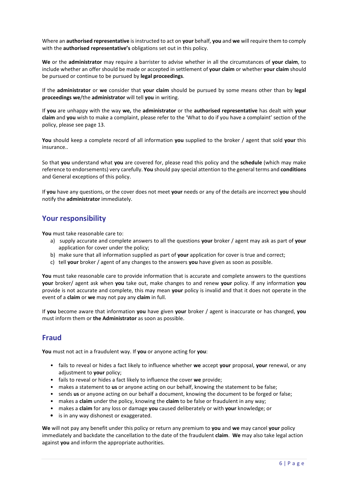Where an **authorised representative** is instructed to act on **your** behalf, **you** and **we** will require them to comply with the **authorised representative's** obligations set out in this policy.

**We** or the **administrator** may require a barrister to advise whether in all the circumstances of **your claim**, to include whether an offer should be made or accepted in settlement of **your claim** or whether **your claim** should be pursued or continue to be pursued by **legal proceedings**.

If the **administrator** or **we** consider that **your claim** should be pursued by some means other than by **legal proceedings we**/the **administrator** will tell **you** in writing.

If **you** are unhappy with the way **we,** the **administrator** or the **authorised representative** has dealt with **your claim** and **you** wish to make a complaint, please refer to the 'What to do if you have a complaint' section of the policy, please see page 13.

**You** should keep a complete record of all information **you** supplied to the broker / agent that sold **your** this insurance..

So that **you** understand what **you** are covered for, please read this policy and the **schedule** (which may make reference to endorsements) very carefully. **You** should pay special attention to the general terms and **conditions** and General exceptions of this policy.

If **you** have any questions, or the cover does not meet **your** needs or any of the details are incorrect **you** should notify the **administrator** immediately.

### **Your responsibility**

**You** must take reasonable care to:

- a) supply accurate and complete answers to all the questions **your** broker / agent may ask as part of **your**  application for cover under the policy;
- b) make sure that all information supplied as part of **your** application for cover is true and correct;
- c) tell **your** broker / agent of any changes to the answers **you** have given as soon as possible.

**You** must take reasonable care to provide information that is accurate and complete answers to the questions **your** broker/ agent ask when **you** take out, make changes to and renew **your** policy. If any information **you**  provide is not accurate and complete, this may mean **your** policy is invalid and that it does not operate in the event of a **claim** or **we** may not pay any **claim** in full.

If **you** become aware that information **you** have given **your** broker / agent is inaccurate or has changed, **you**  must inform them or **the Administrator** as soon as possible.

### **Fraud**

**You** must not act in a fraudulent way. If **you** or anyone acting for **you**:

- fails to reveal or hides a fact likely to influence whether **we** accept **your** proposal, **your** renewal, or any adjustment to **your** policy;
- fails to reveal or hides a fact likely to influence the cover **we** provide;
- makes a statement to **us** or anyone acting on our behalf, knowing the statement to be false;
- sends **us** or anyone acting on our behalf a document, knowing the document to be forged or false;
- makes a **claim** under the policy, knowing the **claim** to be false or fraudulent in any way;
- makes a **claim** for any loss or damage **you** caused deliberately or with **your** knowledge; or
- is in any way dishonest or exaggerated.

**We** will not pay any benefit under this policy or return any premium to **you** and **we** may cancel **your** policy immediately and backdate the cancellation to the date of the fraudulent **claim**. **We** may also take legal action against **you** and inform the appropriate authorities.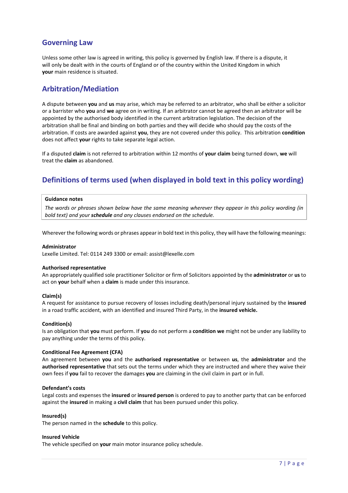# **Governing Law**

Unless some other law is agreed in writing, this policy is governed by English law. If there is a dispute, it will only be dealt with in the courts of England or of the country within the United Kingdom in which **your** main residence is situated.

### **Arbitration/Mediation**

A dispute between **you** and **us** may arise, which may be referred to an arbitrator, who shall be either a solicitor or a barrister who **you** and **we** agree on in writing. If an arbitrator cannot be agreed then an arbitrator will be appointed by the authorised body identified in the current arbitration legislation. The decision of the arbitration shall be final and binding on both parties and they will decide who should pay the costs of the arbitration. If costs are awarded against **you**, they are not covered under this policy. This arbitration **condition** does not affect **your** rights to take separate legal action.

If a disputed **claim** is not referred to arbitration within 12 months of **your claim** being turned down, **we** will treat the **claim** as abandoned.

# **Definitions of terms used (when displayed in bold text in this policy wording)**

#### **Guidance notes**

*The words or phrases shown below have the same meaning wherever they appear in this policy wording (in bold text) and your schedule and any clauses endorsed on the schedule.*

Wherever the following words or phrases appear in bold text in this policy, they will have the following meanings:

#### **Administrator**

Lexelle Limited. Tel: 0114 249 3300 or email: assist@lexelle.com

#### **Authorised representative**

An appropriately qualified sole practitioner Solicitor or firm of Solicitors appointed by the **administrator** or **us** to act on **your** behalf when a **claim** is made under this insurance.

#### **Claim(s)**

A request for assistance to pursue recovery of losses including death/personal injury sustained by the **insured**  in a road traffic accident, with an identified and insured Third Party, in the **insured vehicle.**

#### **Condition(s)**

Is an obligation that **you** must perform. If **you** do not perform a **condition we** might not be under any liability to pay anything under the terms of this policy.

#### **Conditional Fee Agreement (CFA)**

An agreement between **you** and the **authorised representative** or between **us**, the **administrator** and the **authorised representative** that sets out the terms under which they are instructed and where they waive their own fees if **you** fail to recover the damages **you** are claiming in the civil claim in part or in full.

#### **Defendant's costs**

Legal costs and expenses the **insured** or **insured person** is ordered to pay to another party that can be enforced against the **insured** in making a **civil claim** that has been pursued under this policy.

#### **Insured(s)**

The person named in the **schedule** to this policy.

#### **Insured Vehicle**

The vehicle specified on **your** main motor insurance policy schedule.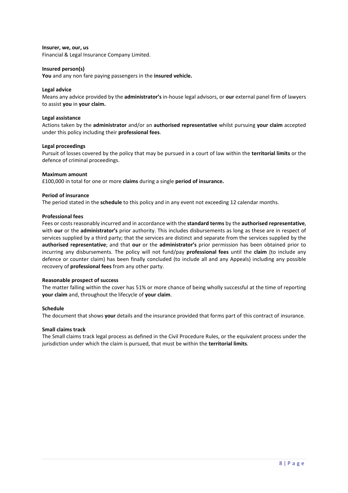#### **Insurer, we, our, us**

Financial & Legal Insurance Company Limited.

#### **Insured person(s)**

**You** and any non fare paying passengers in the **insured vehicle.**

#### **Legal advice**

Means any advice provided by the **administrator's** in-house legal advisors, or **our** external panel firm of lawyers to assist **you** in **your claim.**

#### **Legal assistance**

Actions taken by the **administrator** and/or an **authorised representative** whilst pursuing **your claim** accepted under this policy including their **professional fees**.

#### **Legal proceedings**

Pursuit of losses covered by the policy that may be pursued in a court of law within the **territorial limits** or the defence of criminal proceedings.

#### **Maximum amount**

£100,000 in total for one or more **claims** during a single **period of insurance.** 

#### **Period of insurance**

The period stated in the **schedule** to this policy and in any event not exceeding 12 calendar months.

#### **Professional fees**

Fees or costs reasonably incurred and in accordance with the **standard terms** by the **authorised representative**, with **our** or the **administrator's** prior authority. This includes disbursements as long as these are in respect of services supplied by a third party; that the services are distinct and separate from the services supplied by the **authorised representative**; and that **our** or the **administrator's** prior permission has been obtained prior to incurring any disbursements. The policy will not fund/pay **professional fees** until the **claim** (to include any defence or counter claim) has been finally concluded (to include all and any Appeals) including any possible recovery of **professional fees** from any other party.

#### **Reasonable prospect of success**

The matter falling within the cover has 51% or more chance of being wholly successful at the time of reporting **your claim** and, throughout the lifecycle of **your claim**.

#### **Schedule**

The document that shows **your** details and the insurance provided that forms part of this contract of insurance.

#### **Small claims track**

The Small claims track legal process as defined in the Civil Procedure Rules, or the equivalent process under the jurisdiction under which the claim is pursued, that must be within the **territorial limits**.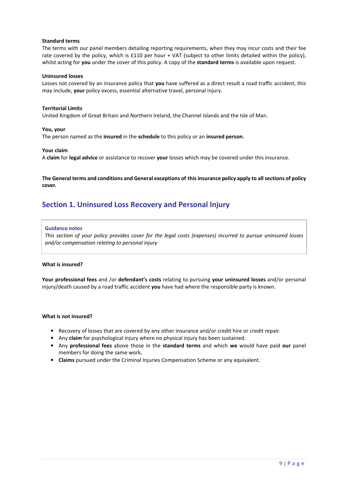#### **Standard terms**

The terms with our panel members detailing reporting requirements, when they may incur costs and their fee rate covered by the policy, which is £110 per hour + VAT (subject to other limits detailed within the policy), whilst acting for **you** under the cover of this policy. A copy of the **standard terms** is available upon request.

#### **Uninsured losses**

Losses not covered by an insurance policy that **you** have suffered as a direct result a road traffic accident, this may include, **your** policy excess, essential alternative travel, personal injury.

#### **Territorial Limits**

United Kingdom of Great Britain and Northern Ireland, the Channel Islands and the Isle of Man.

#### **You, your**

The person named as the **insured** in the **schedule** to this policy or an **insured person.** 

#### **Your claim**

A **claim** for **legal advice** or assistance to recover **your** losses which may be covered under this insurance.

**The General terms and conditions and General exceptions of this insurance policy apply to all sections of policy cover.**

### **Section 1. Uninsured Loss Recovery and Personal Injury**

#### **Guidance notes**

*This section of your policy provides cover for the legal costs (expenses) incurred to pursue uninsured losses and/or compensation relating to personal injury*

#### **What is insured?**

**Your professional fees** and /or **defendant's costs** relating to pursuing **your uninsured losses** and/or personal injury/death caused by a road traffic accident **you** have had where the responsible party is known.

#### **What is not insured?**

- Recovery of losses that are covered by any other insurance and/or credit hire or credit repair.
- Any **claim** for psychological injury where no physical injury has been sustained.
- Any **professional fees** above those in the **standard terms** and which **we** would have paid **our** panel members for doing the same work**.**
- **Claims** pursued under the Criminal Injuries Compensation Scheme or any equivalent.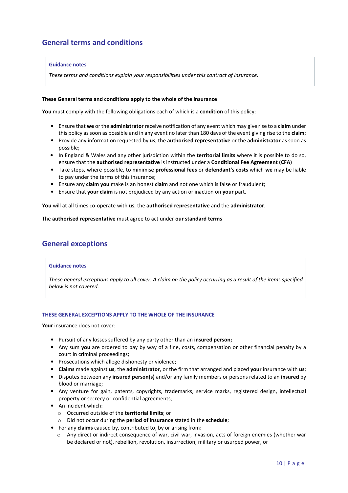# **General terms and conditions**

#### **Guidance notes**

*These terms and conditions explain your responsibilities under this contract of insurance.*

#### **These General terms and conditions apply to the whole of the insurance**

**You** must comply with the following obligations each of which is a **condition** of this policy:

- Ensure that **we** or the **administrator** receive notification of any event which may give rise to a **claim** under this policy as soon as possible and in any event no later than 180 days of the event giving rise to the **claim**;
- Provide any information requested by **us**, the **authorised representative** or the **administrator** as soon as possible;
- In England & Wales and any other jurisdiction within the **territorial limits** where it is possible to do so, ensure that the **authorised representative** is instructed under a **Conditional Fee Agreement (CFA)**
- Take steps, where possible, to minimise **professional fees** or **defendant's costs** which **we** may be liable to pay under the terms of this insurance;
- Ensure any **claim you** make is an honest **claim** and not one which is false or fraudulent;
- Ensure that **your claim** is not prejudiced by any action or inaction on **your** part.

**You** will at all times co-operate with **us**, the **authorised representative** and the **administrator**.

The **authorised representative** must agree to act under **our standard terms**

### **General exceptions**

#### **Guidance notes**

*These general exceptions apply to all cover. A claim on the policy occurring as a result of the items specified below is not covered.*

#### **THESE GENERAL EXCEPTIONS APPLY TO THE WHOLE OF THE INSURANCE**

**Your** insurance does not cover:

- Pursuit of any losses suffered by any party other than an **insured person;**
- Any sum **you** are ordered to pay by way of a fine, costs, compensation or other financial penalty by a court in criminal proceedings;
- Prosecutions which allege dishonesty or violence;
- **Claims** made against **us**, the **administrator**, or the firm that arranged and placed **your** insurance with **us**;
- Disputes between any **insured person(s)** and/or any family members or persons related to an **insured** by blood or marriage;
- Any venture for gain, patents, copyrights, trademarks, service marks, registered design, intellectual property or secrecy or confidential agreements;
- An incident which:
	- o Occurred outside of the **territorial limits**; or
	- o Did not occur during the **period of insurance** stated in the **schedule**;
- For any **claims** caused by, contributed to, by or arising from:
	- o Any direct or indirect consequence of war, civil war, invasion, acts of foreign enemies (whether war be declared or not), rebellion, revolution, insurrection, military or usurped power, or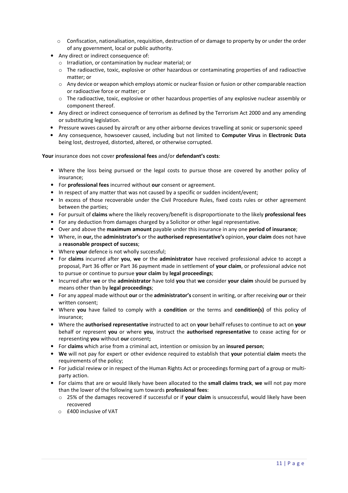- $\circ$  Confiscation, nationalisation, requisition, destruction of or damage to property by or under the order of any government, local or public authority.
- Any direct or indirect consequence of:
	- o Irradiation, or contamination by nuclear material; or
	- o The radioactive, toxic, explosive or other hazardous or contaminating properties of and radioactive matter; or
	- $\circ$  Any device or weapon which employs atomic or nuclear fission or fusion or other comparable reaction or radioactive force or matter; or
	- o The radioactive, toxic, explosive or other hazardous properties of any explosive nuclear assembly or component thereof.
- Any direct or indirect consequence of terrorism as defined by the Terrorism Act 2000 and any amending or substituting legislation.
- Pressure waves caused by aircraft or any other airborne devices travelling at sonic or supersonic speed
- Any consequence, howsoever caused, including but not limited to **Computer Virus** in **Electronic Data** being lost, destroyed, distorted, altered, or otherwise corrupted.

**Your** insurance does not cover **professional fees** and/or **defendant's costs**:

- Where the loss being pursued or the legal costs to pursue those are covered by another policy of insurance;
- For **professional fees** incurred without **our** consent or agreement.
- In respect of any matter that was not caused by a specific or sudden incident/event;
- In excess of those recoverable under the Civil Procedure Rules, fixed costs rules or other agreement between the parties;
- For pursuit of **claims** where the likely recovery/benefit is disproportionate to the likely **professional fees**
- For any deduction from damages charged by a Solicitor or other legal representative.
- Over and above the **maximum amount** payable under this insurance in any one **period of insurance**;
- Where, in **our,** the **administrator's** or the **authorised representative's** opinion, **your claim** does not have a **reasonable prospect of success**;
- Where **your** defence is not wholly successful;
- For **claims** incurred after **you**, **we** or the **administrator** have received professional advice to accept a proposal, Part 36 offer or Part 36 payment made in settlement of **your claim**, or professional advice not to pursue or continue to pursue **your claim** by **legal proceedings**;
- Incurred after **we** or the **administrator** have told **you** that **we** consider **your claim** should be pursued by means other than by **legal proceedings**;
- For any appeal made without **our** or the **administrator's** consent in writing, or after receiving **our** or their written consent;
- Where **you** have failed to comply with a **condition** or the terms and **condition(s)** of this policy of insurance;
- Where the **authorised representative** instructed to act on **your** behalf refuses to continue to act on **your** behalf or represent **you** or where **you**, instruct the **authorised representative** to cease acting for or representing **you** without **our** consent**;**
- For **claims** which arise from a criminal act, intention or omission by an **insured person**;
- **We** will not pay for expert or other evidence required to establish that **your** potential **claim** meets the requirements of the policy;
- For judicial review or in respect of the Human Rights Act or proceedings forming part of a group or multiparty action.
- For claims that are or would likely have been allocated to the **small claims track**, **we** will not pay more than the lower of the following sum towards **professional fees**:
	- o 25% of the damages recovered if successful or if **your claim** is unsuccessful, would likely have been recovered
	- o £400 inclusive of VAT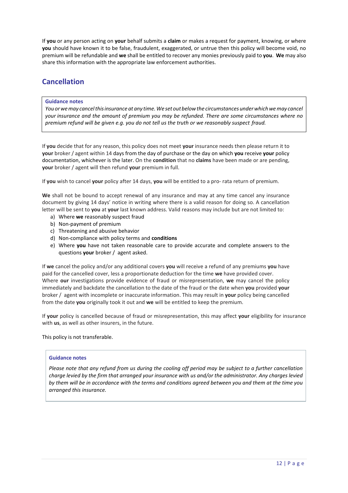If **you** or any person acting on **your** behalf submits a **claim** or makes a request for payment, knowing, or where **you** should have known it to be false, fraudulent, exaggerated, or untrue then this policy will become void, no premium will be refundable and **we** shall be entitled to recover any monies previously paid to **you**. **We** may also share this information with the appropriate law enforcement authorities.

# **Cancellation**

#### **Guidance notes**

*You or we may cancel this insurance at any time. We set out below the circumstances under which we may cancel your insurance and the amount of premium you may be refunded. There are some circumstances where no premium refund will be given e.g. you do not tell us the truth or we reasonably suspect fraud.*

If **you** decide that for any reason, this policy does not meet **your** insurance needs then please return it to **your** broker / agent within 14 days from the day of purchase or the day on which **you** receive **your** policy documentation, whichever is the later. On the **condition** that no **claims** have been made or are pending, **your** broker / agent will then refund **your** premium in full.

If **you** wish to cancel **your** policy after 14 days, **you** will be entitled to a pro- rata return of premium.

**We** shall not be bound to accept renewal of any insurance and may at any time cancel any insurance document by giving 14 days' notice in writing where there is a valid reason for doing so. A cancellation letter will be sent to **you** at **your** last known address. Valid reasons may include but are not limited to:

- a) Where **we** reasonably suspect fraud
- b) Non-payment of premium
- c) Threatening and abusive behavior
- d) Non-compliance with policy terms and **conditions**
- e) Where **you** have not taken reasonable care to provide accurate and complete answers to the questions **your** broker /agent asked.

If **we** cancel the policy and/or any additional covers **you** will receive a refund of any premiums **you** have paid for the cancelled cover, less a proportionate deduction for the time **we** have provided cover. Where **our** investigations provide evidence of fraud or misrepresentation, **we** may cancel the policy immediately and backdate the cancellation to the date of the fraud or the date when **you** provided **your**  broker / agent with incomplete or inaccurate information. This may result in **your** policy being cancelled from the date **you** originally took it out and **we** will be entitled to keep the premium.

If **your** policy is cancelled because of fraud or misrepresentation, this may affect **your** eligibility for insurance with **us**, as well as other insurers, in the future.

This policy is not transferable.

#### **Guidance notes**

*Please note that any refund from us during the cooling off period may be subject to a further cancellation charge levied by the firm that arranged your insurance with us and/or the administrator. Any charges levied by them will be in accordance with the terms and conditions agreed between you and them at the time you arranged this insurance.*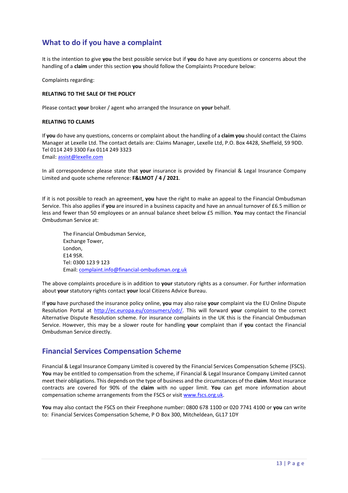# **What to do if you have a complaint**

It is the intention to give **you** the best possible service but if **you** do have any questions or concerns about the handling of a **claim** under this section **you** should follow the Complaints Procedure below:

Complaints regarding:

#### **RELATING TO THE SALE OF THE POLICY**

Please contact **your** broker / agent who arranged the Insurance on **your** behalf.

#### **RELATING TO CLAIMS**

If **you** do have any questions, concerns or complaint about the handling of a **claim you** should contact the Claims Manager at Lexelle Ltd. The contact details are: Claims Manager, Lexelle Ltd, P.O. Box 4428, Sheffield, S9 9DD. Tel 0114 249 3300 Fax 0114 249 3323 Email: assist@lexelle.com

In all correspondence please state that **your** insurance is provided by Financial & Legal Insurance Company Limited and quote scheme reference: **F&LMOT / 4 / 2021**.

If it is not possible to reach an agreement, **you** have the right to make an appeal to the Financial Ombudsman Service. This also applies if **you** are insured in a business capacity and have an annual turnover of £6.5 million or less and fewer than 50 employees or an annual balance sheet below £5 million. **You** may contact the Financial Ombudsman Service at:

The Financial Ombudsman Service, Exchange Tower, London, E14 9SR. Tel: 0300 123 9 123 Email: complaint.info@financial-ombudsman.org.uk

The above complaints procedure is in addition to **your** statutory rights as a consumer. For further information about **your** statutory rights contact **your** local Citizens Advice Bureau.

If **you** have purchased the insurance policy online, **you** may also raise **your** complaint via the EU Online Dispute Resolution Portal at http://ec.europa.eu/consumers/odr/. This will forward **your** complaint to the correct Alternative Dispute Resolution scheme. For insurance complaints in the UK this is the Financial Ombudsman Service. However, this may be a slower route for handling **your** complaint than if **you** contact the Financial Ombudsman Service directly.

### **Financial Services Compensation Scheme**

Financial & Legal Insurance Company Limited is covered by the Financial Services Compensation Scheme (FSCS). You may be entitled to compensation from the scheme, if Financial & Legal Insurance Company Limited cannot meet their obligations. This depends on the type of business and the circumstances of the **claim**. Most insurance contracts are covered for 90% of the **claim** with no upper limit. **You** can get more information about compensation scheme arrangements from the FSCS or visit www.fscs.org.uk.

**You** may also contact the FSCS on their Freephone number: 0800 678 1100 or 020 7741 4100 or **you** can write to: Financial Services Compensation Scheme, P O Box 300, Mitcheldean, GL17 1DY